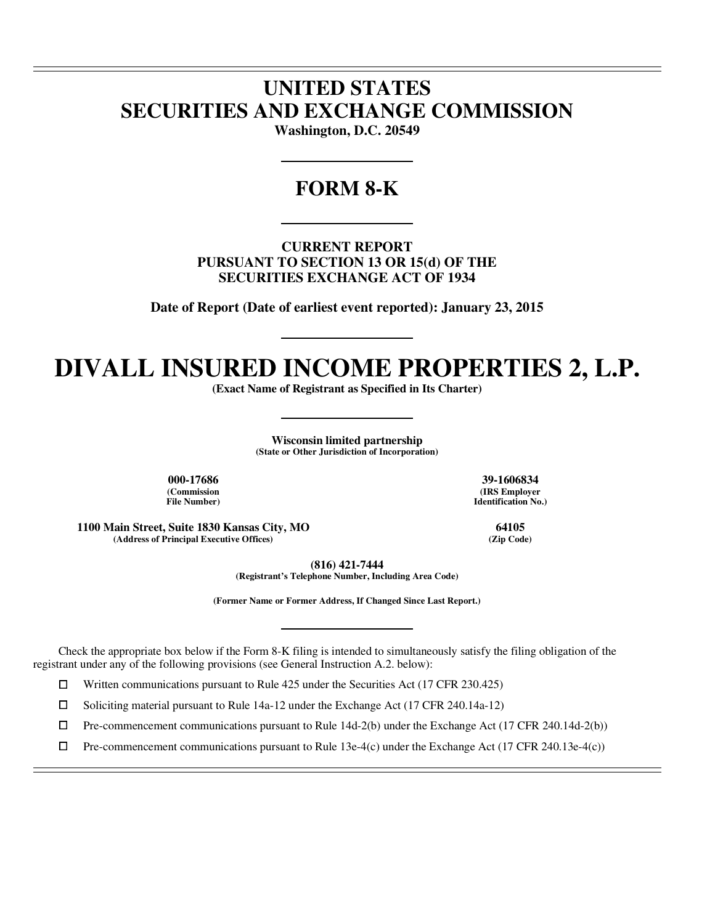# **UNITED STATES SECURITIES AND EXCHANGE COMMISSION**

**Washington, D.C. 20549** 

### **FORM 8-K**

**CURRENT REPORT PURSUANT TO SECTION 13 OR 15(d) OF THE SECURITIES EXCHANGE ACT OF 1934** 

**Date of Report (Date of earliest event reported): January 23, 2015** 

# **DIVALL INSURED INCOME PROPERTIES 2, L.P.**

**(Exact Name of Registrant as Specified in Its Charter)** 

**Wisconsin limited partnership (State or Other Jurisdiction of Incorporation)** 

**(Commission File Number)**

 $\overline{a}$  $\overline{a}$ 

 $\overline{a}$ 

**000-17686 39-1606834 (IRS Employer Identification No.)**

**1100 Main Street, Suite 1830 Kansas City, MO 64105 (Address of Principal Executive Offices)** 

**(816) 421-7444 (Registrant's Telephone Number, Including Area Code)** 

**(Former Name or Former Address, If Changed Since Last Report.)** 

Check the appropriate box below if the Form 8-K filing is intended to simultaneously satisfy the filing obligation of the registrant under any of the following provisions (see General Instruction A.2. below):

 $□$  Written communications pursuant to Rule 425 under the Securities Act (17 CFR 230.425)<br>
□ Soliciting material pursuant to Rule 14a-12 under the Exchange Act (17 CFR 240.14a-12)

<p>□ Soliciting material pursuit to Rule 14a-12 under the Exchange Act (17 CFR 240.14a-12)</p>\n<p>□ Pre-component communications pursuit to Rule 14d-2(b) under the Exchange Act (17 CFR 240.14a-12)</p>

 $\Box$  Pre-commencement communications pursuant to Rule 14d-2(b) under the Exchange Act (17 CFR 240.14d-2(b))<br>  $\Box$  Pre-commencement communications pursuant to Rule 13e-4(c) under the Exchange Act (17 CFR 240.13e-4(c))

Pre-commencement communications pursuant to Rule 13e-4(c) under the Exchange Act (17 CFR 240.13e-4(c))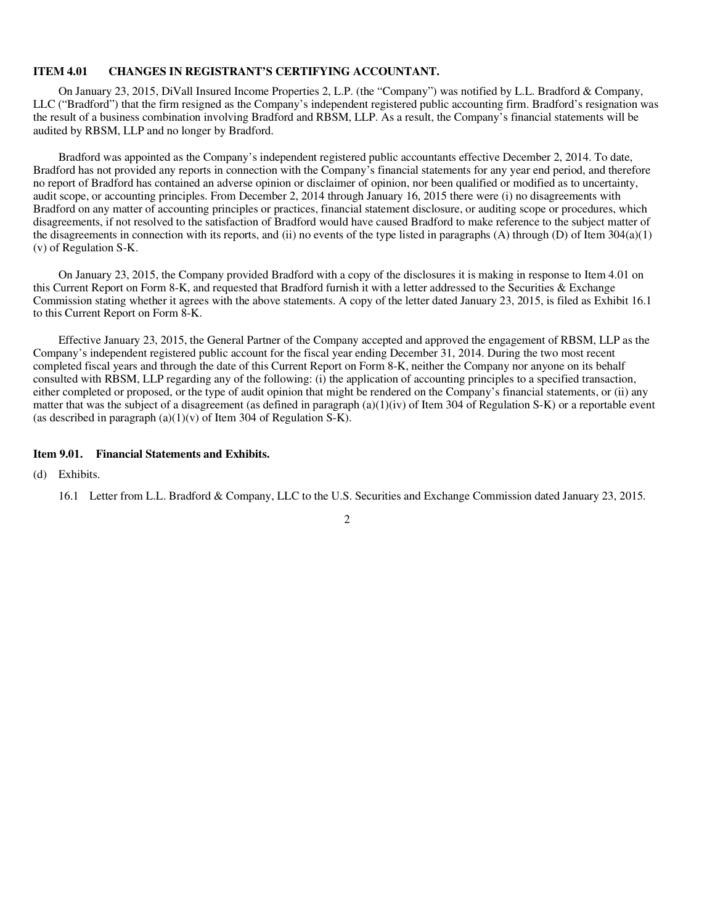#### **ITEM 4.01 CHANGES IN REGISTRANT'S CERTIFYING ACCOUNTANT.**

On January 23, 2015, DiVall Insured Income Properties 2, L.P. (the "Company") was notified by L.L. Bradford & Company, LLC ("Bradford") that the firm resigned as the Company's independent registered public accounting firm. Bradford's resignation was the result of a business combination involving Bradford and RBSM, LLP. As a result, the Company's financial statements will be audited by RBSM, LLP and no longer by Bradford.

Bradford was appointed as the Company's independent registered public accountants effective December 2, 2014. To date, Bradford has not provided any reports in connection with the Company's financial statements for any year end period, and therefore no report of Bradford has contained an adverse opinion or disclaimer of opinion, nor been qualified or modified as to uncertainty, audit scope, or accounting principles. From December 2, 2014 through January 16, 2015 there were (i) no disagreements with Bradford on any matter of accounting principles or practices, financial statement disclosure, or auditing scope or procedures, which disagreements, if not resolved to the satisfaction of Bradford would have caused Bradford to make reference to the subject matter of the disagreements in connection with its reports, and (ii) no events of the type listed in paragraphs (A) through (D) of Item  $304(a)(1)$ (v) of Regulation S-K.

On January 23, 2015, the Company provided Bradford with a copy of the disclosures it is making in response to Item 4.01 on this Current Report on Form 8-K, and requested that Bradford furnish it with a letter addressed to the Securities & Exchange Commission stating whether it agrees with the above statements. A copy of the letter dated January 23, 2015, is filed as Exhibit 16.1 to this Current Report on Form 8-K.

Effective January 23, 2015, the General Partner of the Company accepted and approved the engagement of RBSM, LLP as the Company's independent registered public account for the fiscal year ending December 31, 2014. During the two most recent completed fiscal years and through the date of this Current Report on Form 8-K, neither the Company nor anyone on its behalf consulted with RBSM, LLP regarding any of the following: (i) the application of accounting principles to a specified transaction, either completed or proposed, or the type of audit opinion that might be rendered on the Company's financial statements, or (ii) any matter that was the subject of a disagreement (as defined in paragraph (a)(1)(iv) of Item 304 of Regulation S-K) or a reportable event (as described in paragraph  $(a)(1)(v)$  of Item 304 of Regulation S-K).

#### **Item 9.01. Financial Statements and Exhibits.**

(d) Exhibits.

16.1 Letter from L.L. Bradford & Company, LLC to the U.S. Securities and Exchange Commission dated January 23, 2015.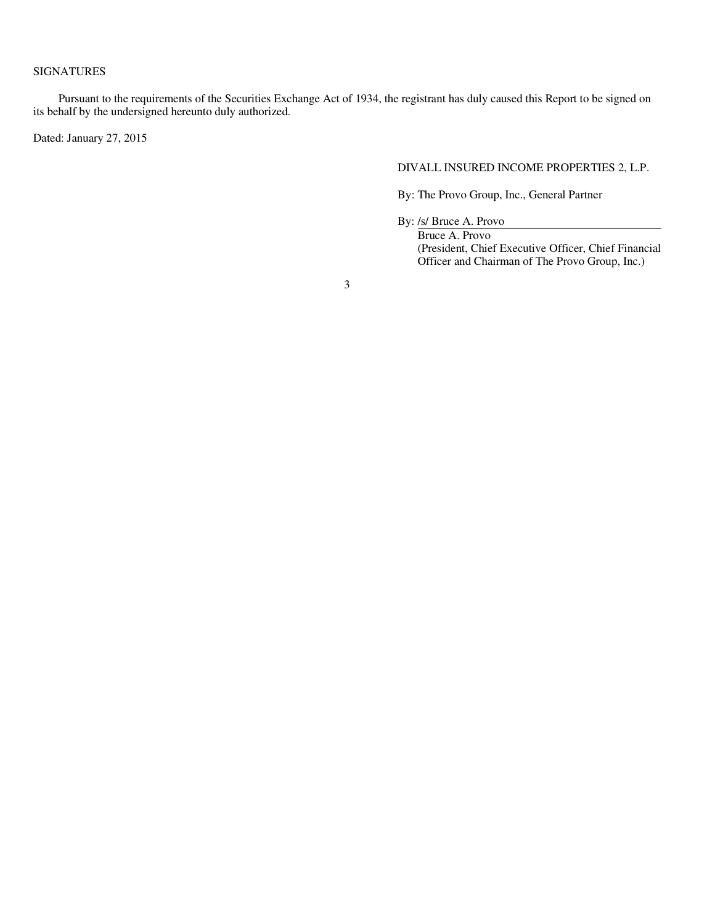### SIGNATURES

Pursuant to the requirements of the Securities Exchange Act of 1934, the registrant has duly caused this Report to be signed on its behalf by the undersigned hereunto duly authorized.

Dated: January 27, 2015

#### DIVALL INSURED INCOME PROPERTIES 2, L.P.

By: The Provo Group, Inc., General Partner

By: /s/ Bruce A. Provo

Bruce A. Provo (President, Chief Executive Officer, Chief Financial Officer and Chairman of The Provo Group, Inc.)

3